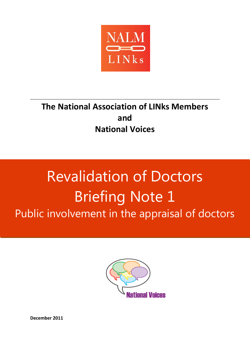

# **The National Association of LINks Members and National Voices**

# **Steve Fisher - steversi@talktalk.net Malcolm 2008 R[evalida](mailto:steversi@talktalk.net)[tio](mailto:Nalm2008@aol.com)n of Doctors** Briefing Note 1 Public involvement in the appraisal of doctors



**December 2011**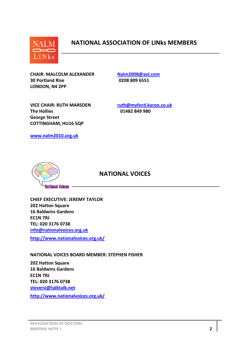

# **NATIONAL ASSOCIATION OF LINks MEMBERS**

**CHAIR: MALCOLM ALEXANDER [Nalm2008@aol.com](mailto:Nalm2008@aol.com) 30 Portland Rise 0208 809 6551 LONDON, N4 2PP** 

**VICE CHAIR: RUTH MARSDEN [ruth@myford.karoo.co.uk](mailto:ruth@myford.karoo.co.uk) The Hollies 01482 849 980 George Street COTTINGHAM, HU16 5QP**

**[www.nalm2010.org.uk](http://www.nalm2010.org.uk/)**



#### **NATIONAL VOICES**

**CHIEF EXECUTIVE: JEREMY TAYLOR 202 Hatton Square 16 Baldwins Gardens EC1N 7RJ TEL: 020 3176 0738 [info@nationalvoices.org.uk](mailto:info@nationalvoices.org.uk)**

**<http://www.nationalvoices.org.uk/>**

**NATIONAL VOICES BOARD MEMBER: STEPHEN FISHER**

**202 Hatton Square 16 Baldwins Gardens EC1N 7RJ TEL: 020 3176 0738 [steversi@talktalk.net](mailto:steversi@talktalk.net)**

**<http://www.nationalvoices.org.uk/>**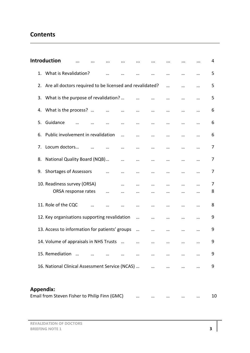# **Contents**

|                                               | <b>Introduction</b>                                         |  |  |  |  |  |  |  |  | 4  |
|-----------------------------------------------|-------------------------------------------------------------|--|--|--|--|--|--|--|--|----|
|                                               | 1. What is Revalidation?                                    |  |  |  |  |  |  |  |  | 5  |
|                                               | 2. Are all doctors required to be licensed and revalidated? |  |  |  |  |  |  |  |  | 5  |
|                                               | 3. What is the purpose of revalidation?                     |  |  |  |  |  |  |  |  | 5  |
|                                               | 4. What is the process?                                     |  |  |  |  |  |  |  |  | 6  |
| 5.                                            | Guidance                                                    |  |  |  |  |  |  |  |  | 6  |
| 6.                                            | Public involvement in revalidation                          |  |  |  |  |  |  |  |  | 6  |
| 7.                                            | Locum doctors                                               |  |  |  |  |  |  |  |  | 7  |
| 8.                                            | National Quality Board (NQB)                                |  |  |  |  |  |  |  |  | 7  |
| 9.                                            | <b>Shortages of Assessors</b>                               |  |  |  |  |  |  |  |  | 7  |
|                                               | 10. Readiness survey (ORSA)                                 |  |  |  |  |  |  |  |  | 7  |
|                                               | ORSA response rates                                         |  |  |  |  |  |  |  |  | 8  |
|                                               | 11. Role of the CQC                                         |  |  |  |  |  |  |  |  | 8  |
|                                               | 12. Key organisations supporting revalidation               |  |  |  |  |  |  |  |  | 9  |
|                                               | 13. Access to information for patients' groups              |  |  |  |  |  |  |  |  | 9  |
|                                               | 14. Volume of appraisals in NHS Trusts                      |  |  |  |  |  |  |  |  | 9  |
|                                               | 15. Remediation                                             |  |  |  |  |  |  |  |  | 9  |
|                                               | 16. National Clinical Assessment Service (NCAS)             |  |  |  |  |  |  |  |  | 9  |
|                                               |                                                             |  |  |  |  |  |  |  |  |    |
|                                               | <b>Appendix:</b>                                            |  |  |  |  |  |  |  |  |    |
| Email from Steven Fisher to Philip Finn (GMC) |                                                             |  |  |  |  |  |  |  |  | 10 |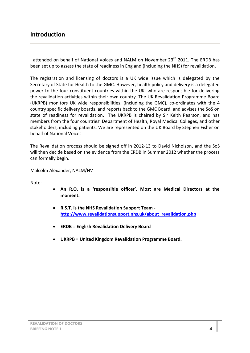# **Introduction**

I attended on behalf of National Voices and NALM on November 23<sup>rd</sup> 2011. The ERDB has been set up to assess the state of readiness in England (including the NHS) for revalidation.

The registration and licensing of doctors is a UK wide issue which is delegated by the Secretary of State for Health to the GMC. However, health policy and delivery is a delegated power to the four constituent countries within the UK, who are responsible for delivering the revalidation activities within their own country. The UK Revalidation Programme Board (UKRPB) monitors UK wide responsibilities, (including the GMC), co-ordinates with the 4 country specific delivery boards, and reports back to the GMC Board, and advises the SoS on state of readiness for revalidation. The UKRPB is chaired by Sir Keith Pearson, and has members from the four countries' Department of Health, Royal Medical Colleges, and other stakeholders, including patients. We are represented on the UK Board by Stephen Fisher on behalf of National Voices.

The Revalidation process should be signed off in 2012-13 to David Nicholson, and the SoS will then decide based on the evidence from the ERDB in Summer 2012 whether the process can formally begin.

Malcolm Alexander, NALM/NV

Note:

- **An R.O. is a 'responsible officer'. Most are Medical Directors at the moment.**
- **R.S.T. is the NHS Revalidation Support Team [http://www.revalidationsupport.nhs.uk/about\\_revalidation.php](http://www.revalidationsupport.nhs.uk/about_revalidation.php)**
- **ERDB = English Revalidation Delivery Board**
- **UKRPB = United Kingdom Revalidation Programme Board.**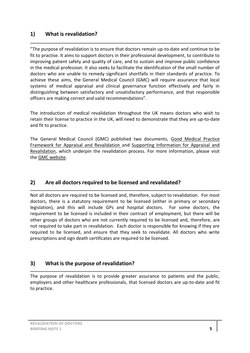#### **1) What is revalidation?**

"The purpose of revalidation is to ensure that doctors remain up-to-date and continue to be fit to practise. It aims to support doctors in their professional development, to contribute to improving patient safety and quality of care, and to sustain and improve public confidence in the medical profession. It also seeks to facilitate the identification of the small number of doctors who are unable to remedy significant shortfalls in their standards of practice. To achieve these aims, the General Medical Council (GMC) will require assurance that local systems of medical appraisal and clinical governance function effectively and fairly in distinguishing between satisfactory and unsatisfactory performance, and that responsible officers are making correct and valid recommendations".

The introduction of medical revalidation throughout the UK means doctors who wish to retain their license to practice in the UK, will need to demonstrate that they are up-to-date and fit to practice.

The General Medical Council (GMC) published two documents, [Good Medical Practice](http://www.gmc-uk.org/doctors/revalidation/revalidation_gmp_framework.asp)  [Framework for Appraisal and Revalidation](http://www.gmc-uk.org/doctors/revalidation/revalidation_gmp_framework.asp) and [Supporting Information for Appraisal and](http://www.gmc-uk.org/Supporting_information.pdf_42293176.pdf)  [Revalidation,](http://www.gmc-uk.org/Supporting_information.pdf_42293176.pdf) which underpin the revalidation process. For more information, please visit the [GMC website.](http://www.gmc-uk.org/doctors/revalidation.asp)

# **2) Are all doctors required to be licensed and revalidated?**

Not all doctors are required to be licensed and, therefore, subject to revalidation. For most doctors, there is a statutory requirement to be licensed (either in primary or secondary legislation), and this will include GPs and hospital doctors. For some doctors, the requirement to be licensed is included in their contract of employment, but there will be other groups of doctors who are not currently required to be licensed and, therefore, are not required to take part in revalidation. Each doctor is responsible for knowing if they are required to be licensed, and ensure that they seek to revalidate. All doctors who write prescriptions and sign death certificates are required to be licensed.

# **3) What is the purpose of revalidation?**

The purpose of revalidation is to provide greater assurance to patients and the public, employers and other healthcare professionals, that licensed doctors are up-to-date and fit to practice.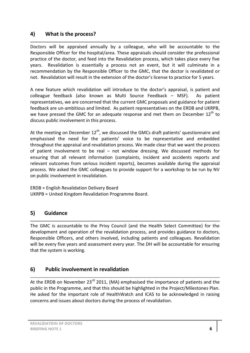#### **4) What is the process?**

Doctors will be appraised annually by a colleague, who will be accountable to the Responsible Officer for the hospital/area. These appraisals should consider the professional practice of the doctor, and feed into the Revalidation process, which takes place every five years. Revalidation is essentially a process not an event, but it will culminate in a recommendation by the Responsible Officer to the GMC, that the doctor is revalidated or not. Revalidation will result in the extension of the doctor's license to practice for 5 years.

A new feature which revalidation will introduce to the doctor's appraisal, is patient and colleague feedback (also known as Multi Source Feedback – MSF). As patient representatives, we are concerned that the current GMC proposals and guidance for patient feedback are un-ambitious and limited. As patient representatives on the ERDB and UKRPB, we have pressed the GMC for an adequate response and met them on December  $12<sup>th</sup>$  to discuss public involvement in this process.

At the meeting on December  $12^{th}$ , we discussed the GMCs draft patients' questionnaire and emphasised the need for the patients' voice to be representative and embedded throughout the appraisal and revalidation process. We made clear that we want the process of patient involvement to be real – not window dressing. We discussed methods for ensuring that all relevant information (complaints, incident and accidents reports and relevant outcomes from serious incident reports), becomes available during the appraisal process. We asked the GMC colleagues to provide support for a workshop to be run by NV on public involvement in revalidation.

ERDB = English Revalidation Delivery Board UKRPB = United Kingdom Revalidation Programme Board.

# **5) Guidance**

The GMC is accountable to the Privy Council (and the Health Select Committee) for the development and operation of the revalidation process, and provides guidance to doctors, Responsible Officers, and others involved, including patients and colleagues. Revalidation will be every five years and assessment every year. The DH will be accountable for ensuring that the system is working.

#### **6) Public involvement in revalidation**

At the ERDB on November  $23^{rd}$  2011, (MA) emphasised the importance of patients and the public in the Programme, and that this should be highlighted in the Project/Milestones Plan. He asked for the important role of HealthWatch and ICAS to be acknowledged in raising concerns and issues about doctors during the process of revalidation.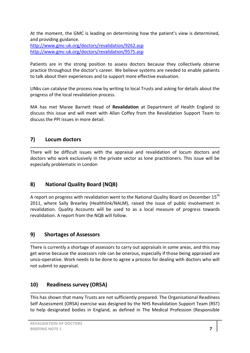At the moment, the GMC is leading on determining how the patient's view is determined, and providing guidance. <http://www.gmc-uk.org/doctors/revalidation/9262.asp> <http://www.gmc-uk.org/doctors/revalidation/9575.asp>

Patients are in the strong position to assess doctors because they collectively observe practice throughout the doctor's career. We believe systems are needed to enable patients to talk about their experiences and to support more effective evaluation.

LINks can catalyse the process now by writing to local Trusts and asking for details about the progress of the local revalidation process.

MA has met Maree Barnett Head of **Revalidation** at Department of Health England to discuss this issue and will meet with Allan Coffey from the Revalidation Support Team to discuss the PPI issues in more detail.

#### **7) Locum doctors**

There will be difficult issues with the appraisal and revalidation of locum doctors and doctors who work exclusively in the private sector as lone practitioners. This issue will be especially problematic in London

# **8) National Quality Board (NQB)**

A report on progress with revalidation went to the National Quality Board on December  $15<sup>th</sup>$ 2011, where Sally Brearley (Healthlink/NALM), raised the issue of public involvement in revalidation. Quality Accounts will be used to as a local measure of progress towards revalidation. A report from the NQB will follow.

#### **9) Shortages of Assessors**

There is currently a shortage of assessors to carry out appraisals in some areas, and this may get worse because the assessors role can be onerous, especially if those being appraised are unco-operative. Work needs to be done to agree a process for dealing with doctors who will not submit to appraisal.

# **10) Readiness survey (ORSA)**

This has shown that many Trusts are not sufficiently prepared. The Organisational Readiness Self Assessment (ORSA) exercise was designed by the NHS Revalidation Support Team (RST) to help designated bodies in England, as defined in The Medical Profession (Responsible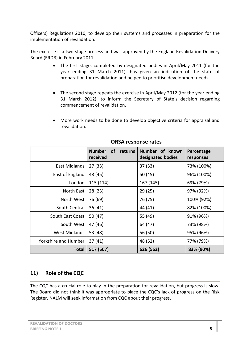Officers) Regulations 2010, to develop their systems and processes in preparation for the implementation of revalidation.

The exercise is a two-stage process and was approved by the England Revalidation Delivery Board (ERDB) in February 2011.

- The first stage, completed by designated bodies in April/May 2011 (for the year ending 31 March 2011), has given an indication of the state of preparation for revalidation and helped to prioritise development needs.
- The second stage repeats the exercise in April/May 2012 (for the year ending 31 March 2012), to inform the Secretary of State's decision regarding commencement of revalidation.
- More work needs to be done to develop objective criteria for appraisal and revalidation.

|                      | <b>Number</b><br><b>of</b><br>returns<br>received | Number of known<br>designated bodies | Percentage<br>responses |
|----------------------|---------------------------------------------------|--------------------------------------|-------------------------|
| East Midlands        | 27(33)                                            | 37(33)                               | 73% (100%)              |
| East of England      | 48 (45)                                           | 50(45)                               | 96% (100%)              |
| London               | 115 (114)                                         | 167 (145)                            | 69% (79%)               |
| North East           | 28(23)                                            | 29(25)                               | 97% (92%)               |
| North West           | 76 (69)                                           | 76 (75)                              | 100% (92%)              |
| South Central        | 36(41)                                            | 44 (41)                              | 82% (100%)              |
| South East Coast     | 50 $(47)$                                         | 55 (49)                              | 91% (96%)               |
| South West           | 47 (46)                                           | 64 (47)                              | 73% (98%)               |
| <b>West Midlands</b> | 53 (48)                                           | 56 (50)                              | 95% (96%)               |
| Yorkshire and Humber | 37(41)                                            | 48 (52)                              | 77% (79%)               |
| <b>Total</b>         | 517 (507)                                         | 626 (562)                            | 83% (90%)               |

#### **ORSA response rates**

# **11) Role of the CQC**

The CQC has a crucial role to play in the preparation for revalidation, but progress is slow. The Board did not think it was appropriate to place the CQC's lack of progress on the Risk Register. NALM will seek information from CQC about their progress.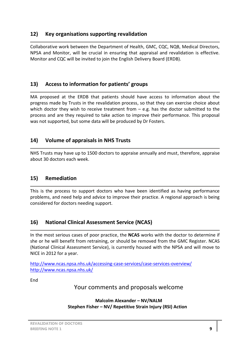#### **12) Key organisations supporting revalidation**

Collaborative work between the Department of Health, GMC, CQC, NQB, Medical Directors, NPSA and Monitor, will be crucial in ensuring that appraisal and revalidation is effective. Monitor and CQC will be invited to join the English Delivery Board (ERDB).

# **13) Access to information for patients' groups**

MA proposed at the ERDB that patients should have access to information about the progress made by Trusts in the revalidation process, so that they can exercise choice about which doctor they wish to receive treatment from  $-$  e.g. has the doctor submitted to the process and are they required to take action to improve their performance. This proposal was not supported, but some data will be produced by Dr Fosters.

# **14) Volume of appraisals in NHS Trusts**

NHS Trusts may have up to 1500 doctors to appraise annually and must, therefore, appraise about 30 doctors each week.

# **15) Remediation**

This is the process to support doctors who have been identified as having performance problems, and need help and advice to improve their practice. A regional approach is being considered for doctors needing support.

# **16) National Clinical Assessment Service (NCAS)**

In the most serious cases of poor practice, the **NCAS** works with the doctor to determine if she or he will benefit from retraining, or should be removed from the GMC Register. NCAS (National Clinical Assessment Service), is currently housed with the NPSA and will move to NICE in 2012 for a year.

<http://www.ncas.npsa.nhs.uk/accessing-case-services/case-services-overview/> <http://www.ncas.npsa.nhs.uk/>

End

Your comments and proposals welcome

**Malcolm Alexander – NV/NALM Stephen Fisher – NV/ Repetitive Strain Injury (RSI) Action**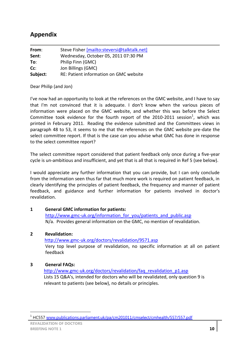# **Appendix**

| From:    | Steve Fisher [mailto:steversi@talktalk.net] |
|----------|---------------------------------------------|
| Sent:    | Wednesday, October 05, 2011 07:30 PM        |
| To:      | Philip Finn (GMC)                           |
| $Cc$ :   | Jon Billings (GMC)                          |
| Subject: | RE: Patient information on GMC website      |

Dear Philip (and Jon)

I've now had an opportunity to look at the references on the GMC website, and I have to say that I'm not convinced that it is adequate. I don't know when the various pieces of information were placed on the GMC website, and whether this was before the Select Committee took evidence for the fourth report of the 2010-2011 session<sup>1</sup>, which was printed in February 2011. Reading the evidence submitted and the Committees views in paragraph 48 to 53, it seems to me that the references on the GMC website pre-date the select committee report. If that is the case can you advise what GMC has done in response to the select committee report?

The select committee report considered that patient feedback only once during a five-year cycle is un-ambitious and insufficient, and yet that is all that is required in Ref 5 (see below).

I would appreciate any further information that you can provide, but I can only conclude from the information seen thus far that much more work is required on patient feedback, in clearly identifying the principles of patient feedback, the frequency and manner of patient feedback, and guidance and further information for patients involved in doctor's revalidation.

#### **1 General GMC information for patients:**

[http://www.gmc-uk.org/information\\_for\\_you/patients\\_and\\_public.asp](http://www.gmc-uk.org/information_for_you/patients_and_public.asp) N/a. Provides general information on the GMC, no mention of revalidation.

#### **2 Revalidation:**

 <http://www.gmc-uk.org/doctors/revalidation/9571.asp> Very top level purpose of revalidation, no specific information at all on patient feedback

#### **3 General FAQs:**

 [http://www.gmc-uk.org/doctors/revalidation/faq\\_revalidation\\_p1.asp](http://www.gmc-uk.org/doctors/revalidation/faq_revalidation_p1.asp) Lists 15 Q&A's, intended for doctors who will be revalidated, only question 9 is relevant to patients (see below), no details or principles.

 $\overline{a}$ 

<sup>&</sup>lt;sup>1</sup> HC557 [www.publications.parliament.uk/pa/cm201011/cmselect/cmhealth/557/557.pdf](Local%20Settings/Temporary%20Internet%20Files/Content.Outlook/5V6934RK/www.publications.parliament.uk/pa/cm201011/cmselect/cmhealth/557/557.pdf)